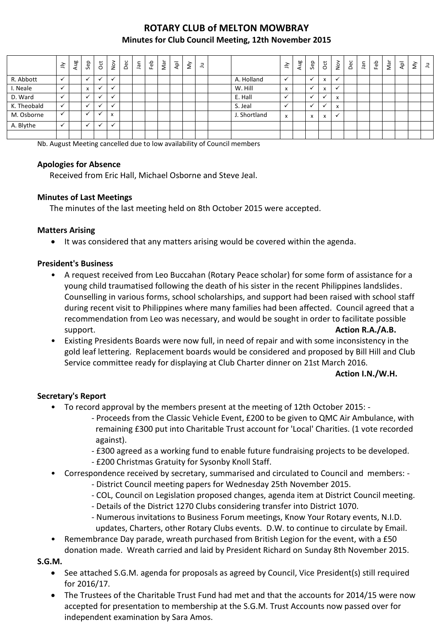# **ROTARY CLUB of MELTON MOWBRAY Minutes for Club Council Meeting, 12th November 2015**

|             | $\preceq$    | Aug | Sep                       | $\overline{\mathrm{c}}$ | $rac{5}{2}$                           | Dec | lan | Feb | Nar | ٩Þ | $\check{\varepsilon}$ | $\Xi$ |              | $\leq$                                | Aug | Sep                       | $\overline{c}$                        | $\sum_{i=1}^{\infty}$ | Dec | nar. | Feb | Nar | $\overline{\mathsf{A}}\mathsf{P}$ | š | $\exists$ |
|-------------|--------------|-----|---------------------------|-------------------------|---------------------------------------|-----|-----|-----|-----|----|-----------------------|-------|--------------|---------------------------------------|-----|---------------------------|---------------------------------------|-----------------------|-----|------|-----|-----|-----------------------------------|---|-----------|
| R. Abbott   | $\checkmark$ |     |                           | ✔                       |                                       |     |     |     |     |    |                       |       | A. Holland   |                                       |     |                           | $\overline{\phantom{a}}$<br>$\lambda$ | ✓                     |     |      |     |     |                                   |   |           |
| I. Neale    | $\checkmark$ |     | $\mathbf{v}$<br>$\lambda$ | $\cdot$                 |                                       |     |     |     |     |    |                       |       | W. Hill      | $\overline{\phantom{a}}$<br>$\lambda$ |     |                           | $\mathbf{v}$<br>х                     | v                     |     |      |     |     |                                   |   |           |
| D. Ward     |              |     |                           | $\cdot$                 |                                       |     |     |     |     |    |                       |       | E. Hall      |                                       |     |                           |                                       | X                     |     |      |     |     |                                   |   |           |
| K. Theobald | $\checkmark$ |     |                           | $\cdot$                 |                                       |     |     |     |     |    |                       |       | S. Jeal      |                                       |     |                           |                                       | X                     |     |      |     |     |                                   |   |           |
| M. Osborne  | $\checkmark$ |     | $\cdot$                   |                         | $\overline{\phantom{a}}$<br>$\lambda$ |     |     |     |     |    |                       |       | J. Shortland | X                                     |     | $\mathbf{v}$<br>$\lambda$ | x                                     | $\checkmark$          |     |      |     |     |                                   |   |           |
| A. Blythe   | $\checkmark$ |     |                           | $\cdot$                 |                                       |     |     |     |     |    |                       |       |              |                                       |     |                           |                                       |                       |     |      |     |     |                                   |   |           |
|             |              |     |                           |                         |                                       |     |     |     |     |    |                       |       |              |                                       |     |                           |                                       |                       |     |      |     |     |                                   |   |           |

Nb. August Meeting cancelled due to low availability of Council members

## **Apologies for Absence**

Received from Eric Hall, Michael Osborne and Steve Jeal.

## **Minutes of Last Meetings**

The minutes of the last meeting held on 8th October 2015 were accepted.

## **Matters Arising**

It was considered that any matters arising would be covered within the agenda.

## **President's Business**

- A request received from Leo Buccahan (Rotary Peace scholar) for some form of assistance for a young child traumatised following the death of his sister in the recent Philippines landslides. Counselling in various forms, school scholarships, and support had been raised with school staff during recent visit to Philippines where many families had been affected. Council agreed that a recommendation from Leo was necessary, and would be sought in order to facilitate possible support. **Action R.A./A.B. Action R.A./A.B. Action R.A./A.B.**
- Existing Presidents Boards were now full, in need of repair and with some inconsistency in the gold leaf lettering. Replacement boards would be considered and proposed by Bill Hill and Club Service committee ready for displaying at Club Charter dinner on 21st March 2016.

#### **Action I.N./W.H.**

## **Secretary's Report**

- To record approval by the members present at the meeting of 12th October 2015:
	- Proceeds from the Classic Vehicle Event, £200 to be given to QMC Air Ambulance, with remaining £300 put into Charitable Trust account for 'Local' Charities. (1 vote recorded against).
	- £300 agreed as a working fund to enable future fundraising projects to be developed. - £200 Christmas Gratuity for Sysonby Knoll Staff.
- Correspondence received by secretary, summarised and circulated to Council and members:
	- District Council meeting papers for Wednesday 25th November 2015.
	- COL, Council on Legislation proposed changes, agenda item at District Council meeting.
	- Details of the District 1270 Clubs considering transfer into District 1070.
	- Numerous invitations to Business Forum meetings, Know Your Rotary events, N.I.D. updates, Charters, other Rotary Clubs events. D.W. to continue to circulate by Email.
- Remembrance Day parade, wreath purchased from British Legion for the event, with a £50 donation made. Wreath carried and laid by President Richard on Sunday 8th November 2015.

**S.G.M.**

- See attached S.G.M. agenda for proposals as agreed by Council, Vice President(s) still required for 2016/17.
- The Trustees of the Charitable Trust Fund had met and that the accounts for 2014/15 were now accepted for presentation to membership at the S.G.M. Trust Accounts now passed over for independent examination by Sara Amos.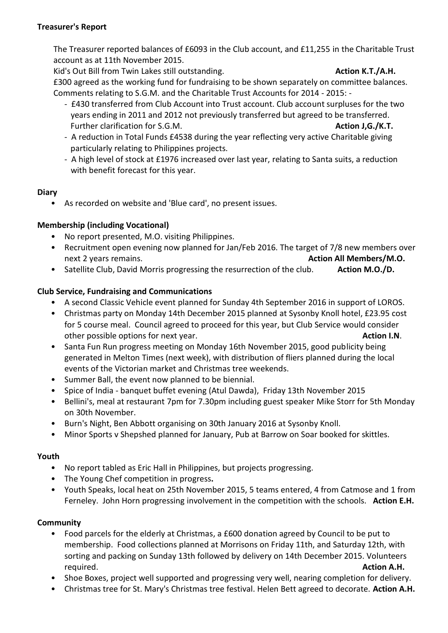#### **Treasurer's Report**

The Treasurer reported balances of £6093 in the Club account, and £11,255 in the Charitable Trust account as at 11th November 2015.

Kid's Out Bill from Twin Lakes still outstanding. **Action K.T./A.H. Action K.T./A.H.** 

£300 agreed as the working fund for fundraising to be shown separately on committee balances. Comments relating to S.G.M. and the Charitable Trust Accounts for 2014 - 2015: -

- £430 transferred from Club Account into Trust account. Club account surpluses for the two years ending in 2011 and 2012 not previously transferred but agreed to be transferred. Further clarification for S.G.M. **Action J.G./K.T. Action J.G./K.T. Action J.G./K.T.**
- A reduction in Total Funds £4538 during the year reflecting very active Charitable giving particularly relating to Philippines projects.
- A high level of stock at £1976 increased over last year, relating to Santa suits, a reduction with benefit forecast for this year.

## **Diary**

• As recorded on website and 'Blue card', no present issues.

# **Membership (including Vocational)**

- No report presented, M.O. visiting Philippines.
- Recruitment open evening now planned for Jan/Feb 2016. The target of 7/8 new members over next 2 years remains. **Action All Members/M.O. Action All Members/M.O.**
- Satellite Club, David Morris progressing the resurrection of the club. **Action M.O./D.**

# **Club Service, Fundraising and Communications**

- A second Classic Vehicle event planned for Sunday 4th September 2016 in support of LOROS.
- Christmas party on Monday 14th December 2015 planned at Sysonby Knoll hotel, £23.95 cost for 5 course meal. Council agreed to proceed for this year, but Club Service would consider other possible options for next year. **Action I.N**.
- Santa Fun Run progress meeting on Monday 16th November 2015, good publicity being generated in Melton Times (next week), with distribution of fliers planned during the local events of the Victorian market and Christmas tree weekends.
- Summer Ball, the event now planned to be biennial.
- Spice of India banquet buffet evening (Atul Dawda), Friday 13th November 2015
- Bellini's, meal at restaurant 7pm for 7.30pm including guest speaker Mike Storr for 5th Monday on 30th November.
- Burn's Night, Ben Abbott organising on 30th January 2016 at Sysonby Knoll.
- Minor Sports v Shepshed planned for January, Pub at Barrow on Soar booked for skittles.

# **Youth**

- No report tabled as Eric Hall in Philippines, but projects progressing.
- The Young Chef competition in progress**.**
- Youth Speaks, local heat on 25th November 2015, 5 teams entered, 4 from Catmose and 1 from Ferneley. John Horn progressing involvement in the competition with the schools. **Action E.H.**

# **Community**

- Food parcels for the elderly at Christmas, a £600 donation agreed by Council to be put to membership. Food collections planned at Morrisons on Friday 11th, and Saturday 12th, with sorting and packing on Sunday 13th followed by delivery on 14th December 2015. Volunteers required. **Action A.H.**
- Shoe Boxes, project well supported and progressing very well, nearing completion for delivery.
- Christmas tree for St. Mary's Christmas tree festival. Helen Bett agreed to decorate. **Action A.H.**